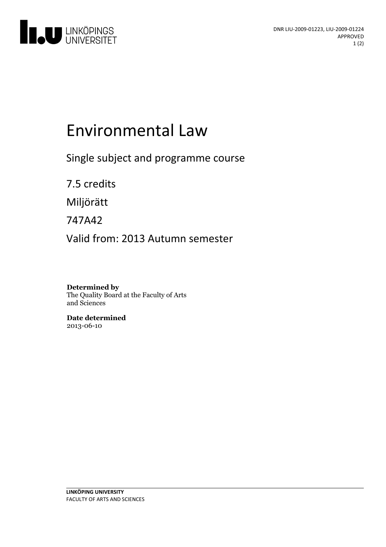

# Environmental Law

Single subject and programme course

7.5 credits

Miljörätt

747A42

Valid from: 2013 Autumn semester

**Determined by** The Quality Board at the Faculty of Arts and Sciences

**Date determined** 2013-06-10